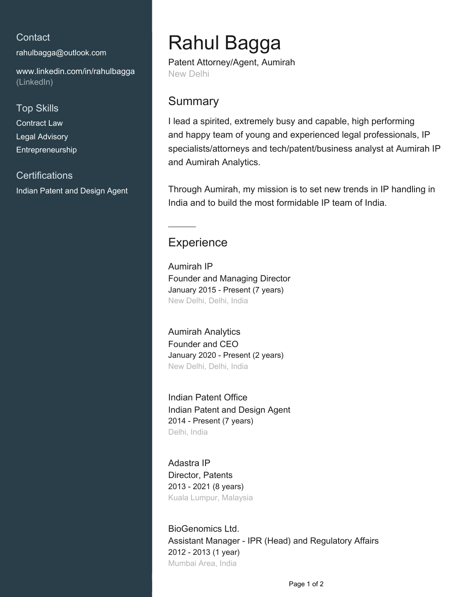### **Contact**

[rahulbagga@outlook.com](mailto:rahulbagga@outlook.com)

[www.linkedin.com/in/rahulbagga](https://www.linkedin.com/in/rahulbagga?jobid=1234&lipi=urn%3Ali%3Apage%3Ad_jobs_easyapply_pdfgenresume%3BENCcAhKITGSeLS0VlffhJQ%3D%3D&licu=urn%3Ali%3Acontrol%3Ad_jobs_easyapply_pdfgenresume-v02_profile) [\(LinkedIn\)](https://www.linkedin.com/in/rahulbagga?jobid=1234&lipi=urn%3Ali%3Apage%3Ad_jobs_easyapply_pdfgenresume%3BENCcAhKITGSeLS0VlffhJQ%3D%3D&licu=urn%3Ali%3Acontrol%3Ad_jobs_easyapply_pdfgenresume-v02_profile)

#### Top Skills

Contract Law Legal Advisory Entrepreneurship

### **Certifications** Indian Patent and Design Agent

# Rahul Bagga

Patent Attorney/Agent, Aumirah New Delhi

## **Summary**

I lead a spirited, extremely busy and capable, high performing and happy team of young and experienced legal professionals, IP specialists/attorneys and tech/patent/business analyst at Aumirah IP and Aumirah Analytics.

Through Aumirah, my mission is to set new trends in IP handling in India and to build the most formidable IP team of India.

## **Experience**

Aumirah IP Founder and Managing Director January 2015 - Present (7 years) New Delhi, Delhi, India

Aumirah Analytics Founder and CEO January 2020 - Present (2 years) New Delhi, Delhi, India

Indian Patent Office Indian Patent and Design Agent 2014 - Present (7 years) Delhi, India

Adastra IP Director, Patents 2013 - 2021 (8 years) Kuala Lumpur, Malaysia

BioGenomics Ltd. Assistant Manager - IPR (Head) and Regulatory Affairs 2012 - 2013 (1 year) Mumbai Area, India